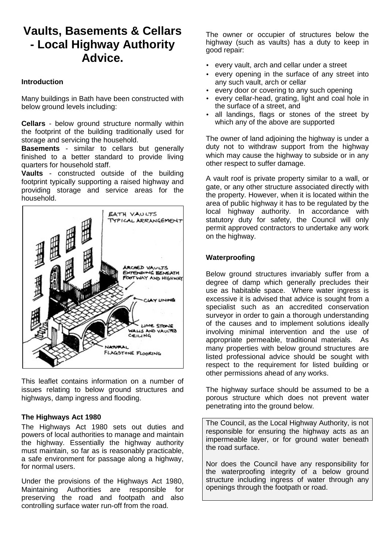# **Vaults, Basements & Cellars - Local Highway Authority Advice.**

## **Introduction**

Many buildings in Bath have been constructed with below ground levels including:

**Cellars** - below ground structure normally within the footprint of the building traditionally used for storage and servicing the household.

**Basements** - similar to cellars but generally finished to a better standard to provide living quarters for household staff.

**Vaults** - constructed outside of the building footprint typically supporting a raised highway and providing storage and service areas for the household.



This leaflet contains information on a number of issues relating to below ground structures and highways, damp ingress and flooding.

#### **The Highways Act 1980**

The Highways Act 1980 sets out duties and powers of local authorities to manage and maintain the highway. Essentially the highway authority must maintain, so far as is reasonably practicable, a safe environment for passage along a highway, for normal users.

Under the provisions of the Highways Act 1980, Maintaining Authorities are responsible for preserving the road and footpath and also controlling surface water run-off from the road.

The owner or occupier of structures below the highway (such as vaults) has a duty to keep in good repair:

- every vault, arch and cellar under a street
- every opening in the surface of any street into any such vault, arch or cellar
- every door or covering to any such opening
- every cellar-head, grating, light and coal hole in the surface of a street, and
- all landings, flags or stones of the street by which any of the above are supported

The owner of land adjoining the highway is under a duty not to withdraw support from the highway which may cause the highway to subside or in any other respect to suffer damage.

A vault roof is private property similar to a wall, or gate, or any other structure associated directly with the property. However, when it is located within the area of public highway it has to be regulated by the local highway authority. In accordance with statutory duty for safety, the Council will only permit approved contractors to undertake any work on the highway.

# **Waterproofing**

Below ground structures invariably suffer from a degree of damp which generally precludes their use as habitable space. Where water ingress is excessive it is advised that advice is sought from a specialist such as an accredited conservation surveyor in order to gain a thorough understanding of the causes and to implement solutions ideally involving minimal intervention and the use of appropriate permeable, traditional materials. As many properties with below ground structures are listed professional advice should be sought with respect to the requirement for listed building or other permissions ahead of any works.

The highway surface should be assumed to be a porous structure which does not prevent water penetrating into the ground below.

The Council, as the Local Highway Authority, is not responsible for ensuring the highway acts as an impermeable layer, or for ground water beneath the road surface.

Nor does the Council have any responsibility for the waterproofing integrity of a below ground structure including ingress of water through any openings through the footpath or road.